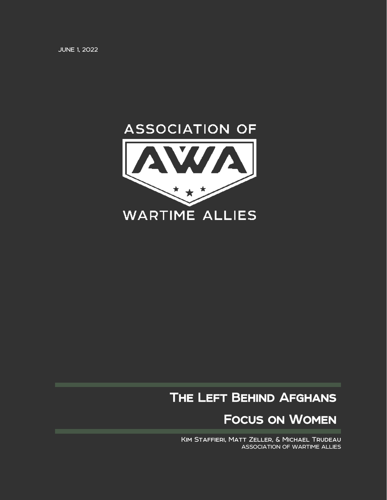JUNE 1, 2022



## The Left Behind Afghans

Focus on Women

Kim Staffieri, Matt Zeller, & Michael Trudeau ASSOCIATION OF WARTIME ALLIES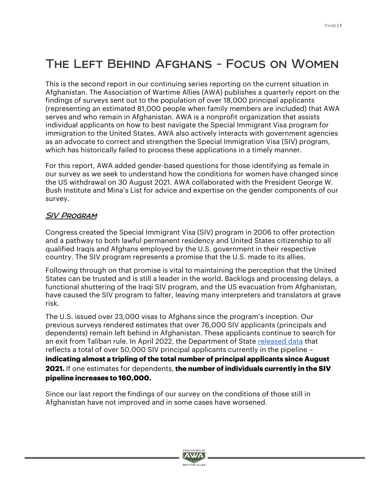# The Left Behind Afghans - Focus on Women

This is the second report in our continuing series reporting on the current situation in Afghanistan. The Association of Wartime Allies (AWA) publishes a quarterly report on the findings of surveys sent out to the population of over 18,000 principal applicants (representing an estimated 81,000 people when family members are included) that AWA serves and who remain in Afghanistan. AWA is a nonprofit organization that assists individual applicants on how to best navigate the Special Immigrant Visa program for immigration to the United States. AWA also actively interacts with government agencies as an advocate to correct and strengthen the Special Immigration Visa (SIV) program, which has historically failed to process these applications in a timely manner.

For this report, AWA added gender-based questions for those identifying as female in our survey as we seek to understand how the conditions for women have changed since the US withdrawal on 30 August 2021. AWA collaborated with the President George W. Bush Institute and Mina's List for advice and expertise on the gender components of our survey.

#### SIV Program

Congress created the Special Immigrant Visa (SIV) program in 2006 to offer protection and a pathway to both lawful permanent residency and United States citizenship to all qualified Iraqis and Afghans employed by the U.S. government in their respective country. The SIV program represents a promise that the U.S. made to its allies.

Following through on that promise is vital to maintaining the perception that the United States can be trusted and is still a leader in the world. Backlogs and processing delays, a functional shuttering of the Iraqi SIV program, and the US evacuation from Afghanistan, have caused the SIV program to falter, leaving many interpreters and translators at grave risk.

The U.S. issued over 23,000 visas to Afghans since the program's inception. Our previous surveys rendered estimates that over 76,000 SIV applicants (principals and dependents) remain left behind in Afghanistan. These applicants continue to search for an exit from Taliban rule. In April 2022, the Department of State [released data](https://www.politico.com/newsletters/west-wing-playbook/2022/05/16/bidens-broken-promise-to-siv-holders-00032682) that reflects a total of over 50,000 SIV principal applicants currently in the pipeline – **indicating almost a tripling of the total number of principal applicants since August 2021.** If one estimates for dependents,**the number of individuals currently in the SIV pipeline increases to 160,000.**

Since our last report the findings of our survey on the conditions of those still in Afghanistan have not improved and in some cases have worsened.

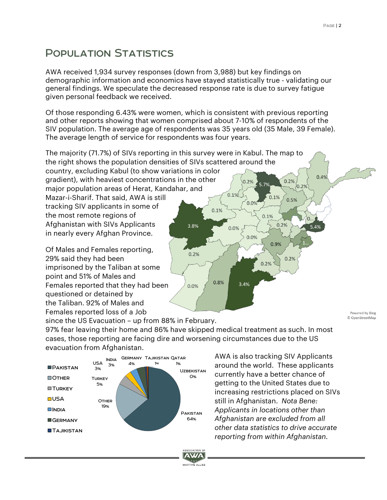### Population Statistics

AWA received 1,934 survey responses (down from 3,988) but key findings on demographic information and economics have stayed statistically true - validating our general findings. We speculate the decreased response rate is due to survey fatigue given personal feedback we received.

Of those responding 6.43% were women, which is consistent with previous reporting and other reports showing that women comprised about 7-10% of respondents of the SIV population. The average age of respondents was 35 years old (35 Male, 39 Female). The average length of service for respondents was four years.



Females reported loss of a Job

Powered by Bing © OpenStreetMap

since the US Evacuation – up from 88% in February. 97% fear leaving their home and 86% have skipped medical treatment as such. In most cases, those reporting are facing dire and worsening circumstances due to the US evacuation from Afghanistan.

> SSOCIATION OF **AWA**  $5 + 5$ WARTIME ALLIES



AWA is also tracking SIV Applicants around the world. These applicants currently have a better chance of getting to the United States due to increasing restrictions placed on SIVs still in Afghanistan. *Nota Bene: Applicants in locations other than Afghanistan are excluded from all other data statistics to drive accurate reporting from within Afghanistan.*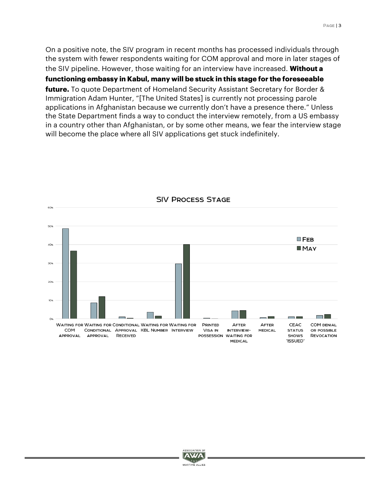On a positive note, the SIV program in recent months has processed individuals through the system with fewer respondents waiting for COM approval and more in later stages of the SIV pipeline. However, those waiting for an interview have increased. **Without a** 

**functioning embassy in Kabul, many will be stuck in this stage for the foreseeable** 

**future.** To quote Department of Homeland Security Assistant Secretary for Border & Immigration Adam Hunter, "[The United States] is currently not processing parole applications in Afghanistan because we currently don't have a presence there." Unless the State Department finds a way to conduct the interview remotely, from a US embassy in a country other than Afghanistan, or by some other means, we fear the interview stage will become the place where all SIV applications get stuck indefinitely.



**SIV PROCESS STAGE** 

![](_page_3_Picture_5.jpeg)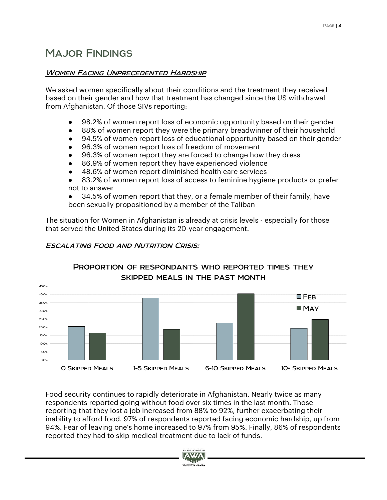## Major Findings

#### Women Facing Unprecedented Hardship

We asked women specifically about their conditions and the treatment they received based on their gender and how that treatment has changed since the US withdrawal from Afghanistan. Of those SIVs reporting:

- 98.2% of women report loss of economic opportunity based on their gender
- 88% of women report they were the primary breadwinner of their household
- 94.5% of women report loss of educational opportunity based on their gender
- 96.3% of women report loss of freedom of movement
- 96.3% of women report they are forced to change how they dress
- 86.9% of women report they have experienced violence
- 48.6% of women report diminished health care services
- 83.2% of women report loss of access to feminine hygiene products or prefer not to answer

34.5% of women report that they, or a female member of their family, have been sexually propositioned by a member of the Taliban

The situation for Women in Afghanistan is already at crisis levels - especially for those that served the United States during its 20-year engagement.

#### Escalating Food and Nutrition Crisis:

![](_page_4_Figure_15.jpeg)

# PROPORTION OF RESPONDANTS WHO REPORTED TIMES THEY

Food security continues to rapidly deteriorate in Afghanistan. Nearly twice as many respondents reported going without food over six times in the last month. Those reporting that they lost a job increased from 88% to 92%, further exacerbating their inability to afford food. 97% of respondents reported facing economic hardship, up from 94%. Fear of leaving one's home increased to 97% from 95%. Finally, 86% of respondents reported they had to skip medical treatment due to lack of funds.

![](_page_4_Picture_18.jpeg)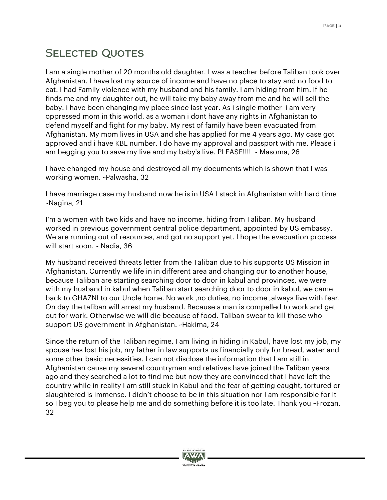## SELECTED QUOTES

I am a single mother of 20 months old daughter. I was a teacher before Taliban took over Afghanistan. I have lost my source of income and have no place to stay and no food to eat. I had Family violence with my husband and his family. I am hiding from him. if he finds me and my daughter out, he will take my baby away from me and he will sell the baby. i have been changing my place since last year. As i single mother i am very oppressed mom in this world. as a woman i dont have any rights in Afghanistan to defend myself and fight for my baby. My rest of family have been evacuated from Afghanistan. My mom lives in USA and she has applied for me 4 years ago. My case got approved and i have KBL number. I do have my approval and passport with me. Please i am begging you to save my live and my baby's live. PLEASE!!!! ~ Masoma, 26

I have changed my house and destroyed all my documents which is shown that I was working women. ~Palwasha, 32

I have marriage case my husband now he is in USA I stack in Afghanistan with hard time ~Nagina, 21

I'm a women with two kids and have no income, hiding from Taliban. My husband worked in previous government central police department, appointed by US embassy. We are running out of resources, and got no support yet. I hope the evacuation process will start soon. ~ Nadia, 36

My husband received threats letter from the Taliban due to his supports US Mission in Afghanistan. Currently we life in in different area and changing our to another house, because Taliban are starting searching door to door in kabul and provinces, we were with my husband in kabul when Taliban start searching door to door in kabul, we came back to GHAZNI to our Uncle home. No work, no duties, no income, always live with fear. On day the taliban will arrest my husband. Because a man is compelled to work and get out for work. Otherwise we will die because of food. Taliban swear to kill those who support US government in Afghanistan. ~Hakima, 24

Since the return of the Taliban regime, I am living in hiding in Kabul, have lost my job, my spouse has lost his job, my father in law supports us financially only for bread, water and some other basic necessities. I can not disclose the information that I am still in Afghanistan cause my several countrymen and relatives have joined the Taliban years ago and they searched a lot to find me but now they are convinced that I have left the country while in reality I am still stuck in Kabul and the fear of getting caught, tortured or slaughtered is immense. I didn't choose to be in this situation nor I am responsible for it so I beg you to please help me and do something before it is too late. Thank you ~Frozan, 32

![](_page_5_Picture_8.jpeg)